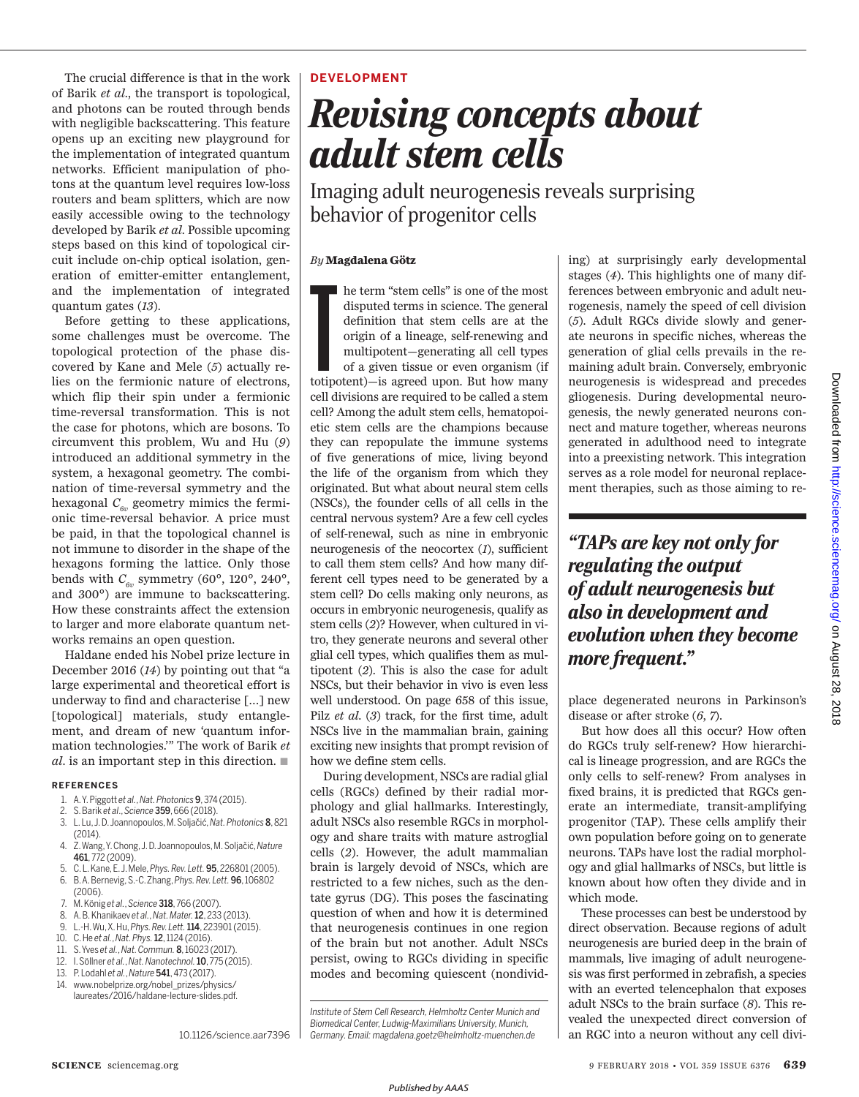The crucial difference is that in the work of Barik *et al*., the transport is topological, and photons can be routed through bends with negligible backscattering. This feature opens up an exciting new playground for the implementation of integrated quantum networks. Efficient manipulation of photons at the quantum level requires low-loss routers and beam splitters, which are now easily accessible owing to the technology developed by Barik *et al*. Possible upcoming steps based on this kind of topological circuit include on-chip optical isolation, generation of emitter-emitter entanglement, and the implementation of integrated quantum gates (*13*).

Before getting to these applications, some challenges must be overcome. The topological protection of the phase discovered by Kane and Mele (*5*) actually relies on the fermionic nature of electrons, which flip their spin under a fermionic time-reversal transformation. This is not the case for photons, which are bosons. To circumvent this problem, Wu and Hu (*9*) introduced an additional symmetry in the system, a hexagonal geometry. The combination of time-reversal symmetry and the hexagonal  $C_{6v}$  geometry mimics the fermionic time-reversal behavior. A price must be paid, in that the topological channel is not immune to disorder in the shape of the hexagons forming the lattice. Only those bends with  $C_{6v}$  symmetry (60°, 120°, 240°, and 300°) are immune to backscattering. How these constraints affect the extension to larger and more elaborate quantum networks remains an open question.

Haldane ended his Nobel prize lecture in December 2016 (*14*) by pointing out that "a large experimental and theoretical effort is underway to find and characterise […] new [topological] materials, study entanglement, and dream of new 'quantum information technologies.'" The work of Barik *et al*. is an important step in this direction.  $\blacksquare$ 

#### **REFERENCES**

- 1. A. Y. Piggott *et al.*, *Nat. Photonics* 9, 374 (2015).
- 2. S. Barik *et al*., *Science* 359, 666 (2018).
- 3. L.Lu, J.D. Joannopoulos,M.Soljačić,*Nat. Photonics* 8, 821 (2014).
- 4. Z.Wang,Y.Chong,J. D.Joannopoulos, M.Soljačić,*Nature* 461, 772 (2009).
- 5. C. L. Kane, E. J. Mele, *Phys. Rev. Lett.* 95, 226801 (2005).
- 6. B. A. Bernevig, S.-C. Zhang, *Phys. Rev. Lett.* 96, 106802 (2006).
- 7. M. König *et al.*, *Science* 318, 766 (2007).
- 8. A. B. Khanikaev *et al.*, *Nat. Mater.*12, 233 (2013).
- 9. L.-H. Wu, X. Hu, *Phys. Rev. Lett.*114, 223901(2015).
- 10. C. He *et al.*, *Nat. Phys.*12, 1124 (2016).
- 11. S. Yves *et al.*, *Nat. Commun.* 8, 16023 (2017).
- 12. I. Söllner *et al.*, *Nat. Nanotechnol.*10, 775 (2015). 13. P. Lodahl *et al.*, *Nature* 541, 473 (2017).
- 
- 14. www.nobelprize.org/nobel\_prizes/physics/ laureates/2016/haldane-lecture-slides.pdf.

10.1126/science.aar7396

### **DEVELOPMENT**

# *Revising concepts about adult stem cells*

Imaging adult neurogenesis reveals surprising behavior of progenitor cells

#### *By* **Magdalena Götz**

he term "stem cells" is one of the most disputed terms in science. The general definition that stem cells are at the origin of a lineage, self-renewing and multipotent—generating all cell types of a given tissue or even or he term "stem cells" is one of the most disputed terms in science. The general definition that stem cells are at the origin of a lineage, self-renewing and multipotent—generating all cell types of a given tissue or even organism (if cell divisions are required to be called a stem cell? Among the adult stem cells, hematopoietic stem cells are the champions because they can repopulate the immune systems of five generations of mice, living beyond the life of the organism from which they originated. But what about neural stem cells (NSCs), the founder cells of all cells in the central nervous system? Are a few cell cycles of self-renewal, such as nine in embryonic neurogenesis of the neocortex (*1*), sufficient to call them stem cells? And how many different cell types need to be generated by a stem cell? Do cells making only neurons, as occurs in embryonic neurogenesis, qualify as stem cells (*2*)? However, when cultured in vitro, they generate neurons and several other glial cell types, which qualifies them as multipotent (*2*). This is also the case for adult NSCs, but their behavior in vivo is even less well understood. On page 658 of this issue, Pilz *et al*. (*3*) track, for the first time, adult NSCs live in the mammalian brain, gaining exciting new insights that prompt revision of how we define stem cells.

During development, NSCs are radial glial cells (RGCs) defined by their radial morphology and glial hallmarks. Interestingly, adult NSCs also resemble RGCs in morphology and share traits with mature astroglial cells (*2*). However, the adult mammalian brain is largely devoid of NSCs, which are restricted to a few niches, such as the dentate gyrus (DG). This poses the fascinating question of when and how it is determined that neurogenesis continues in one region of the brain but not another. Adult NSCs persist, owing to RGCs dividing in specific modes and becoming quiescent (nondivid-

*Institute of Stem Cell Research, Helmholtz Center Munich and Biomedical Center, Ludwig-Maximilians University, Munich, Germany. Email: magdalena.goetz@helmholtz-muenchen.de*

ing) at surprisingly early developmental stages (*4*). This highlights one of many differences between embryonic and adult neurogenesis, namely the speed of cell division (*5*). Adult RGCs divide slowly and generate neurons in specific niches, whereas the generation of glial cells prevails in the remaining adult brain. Conversely, embryonic neurogenesis is widespread and precedes gliogenesis. During developmental neurogenesis, the newly generated neurons connect and mature together, whereas neurons generated in adulthood need to integrate into a preexisting network. This integration serves as a role model for neuronal replacement therapies, such as those aiming to re-

*"TAPs are key not only for regulating the output of adult neurogenesis but also in development and evolution when they become more frequent."*

place degenerated neurons in Parkinson's disease or after stroke (*6*, *7*).

But how does all this occur? How often do RGCs truly self-renew? How hierarchical is lineage progression, and are RGCs the only cells to self-renew? From analyses in fixed brains, it is predicted that RGCs generate an intermediate, transit-amplifying progenitor (TAP). These cells amplify their own population before going on to generate neurons. TAPs have lost the radial morphology and glial hallmarks of NSCs, but little is known about how often they divide and in which mode.

These processes can best be understood by direct observation. Because regions of adult neurogenesis are buried deep in the brain of mammals, live imaging of adult neurogenesis was first performed in zebrafish, a species with an everted telencephalon that exposes adult NSCs to the brain surface (*8*). This revealed the unexpected direct conversion of an RGC into a neuron without any cell divi-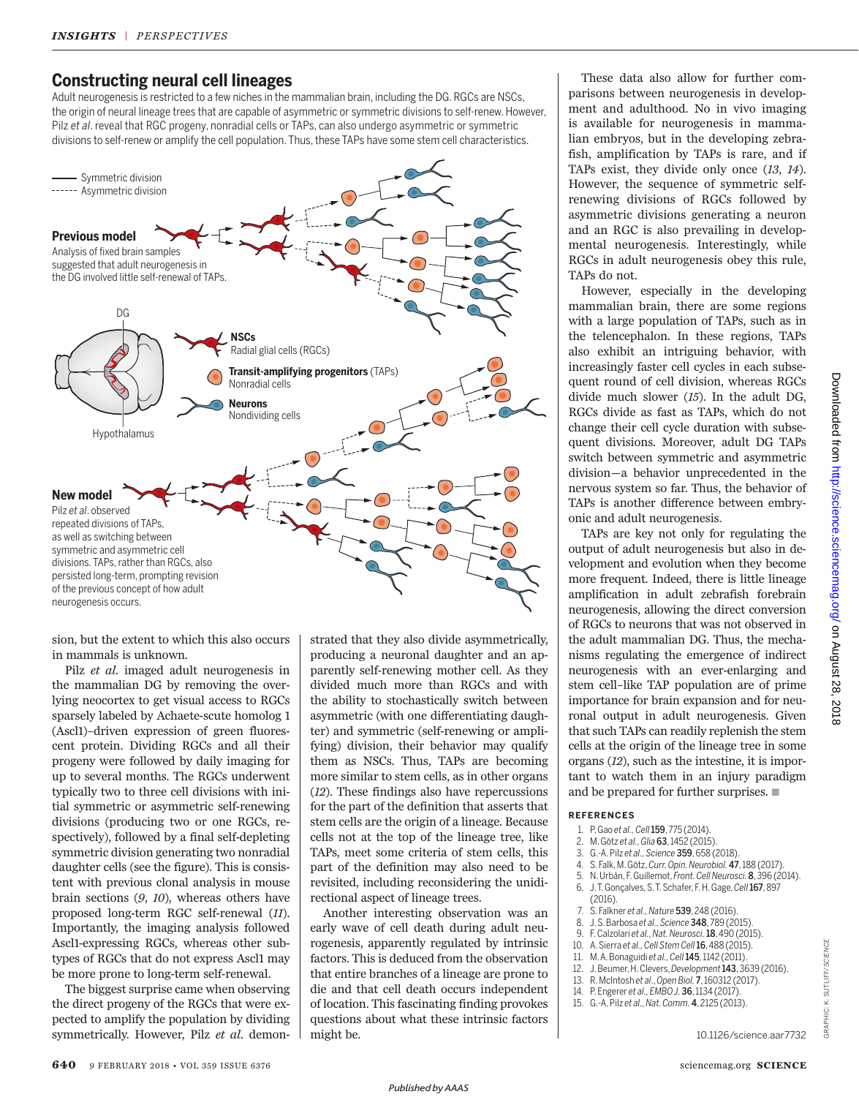# **Constructing neural cell lineages**

Adult neurogenesis is restricted to a few niches in the mammalian brain, including the DG. RGCs are NSCs, the origin of neural lineage trees that are capable of asymmetric or symmetric divisions to self-renew. However, Pilz *et al*. reveal that RGC progeny, nonradial cells or TAPs, can also undergo asymmetric or symmetric divisions to self-renew or amplify the cell population. Thus, these TAPs have some stem cell characteristics.



sion, but the extent to which this also occurs in mammals is unknown.

Pilz *et al*. imaged adult neurogenesis in the mammalian DG by removing the overlying neocortex to get visual access to RGCs sparsely labeled by Achaete-scute homolog 1 (Ascl1)–driven expression of green fluorescent protein. Dividing RGCs and all their progeny were followed by daily imaging for up to several months. The RGCs underwent typically two to three cell divisions with initial symmetric or asymmetric self-renewing divisions (producing two or one RGCs, respectively), followed by a final self-depleting symmetric division generating two nonradial daughter cells (see the figure). This is consistent with previous clonal analysis in mouse brain sections (*9*, *10*), whereas others have proposed long-term RGC self-renewal (*11*). Importantly, the imaging analysis followed Ascl1-expressing RGCs, whereas other subtypes of RGCs that do not express Ascl1 may be more prone to long-term self-renewal.

The biggest surprise came when observing the direct progeny of the RGCs that were expected to amplify the population by dividing symmetrically. However, Pilz *et al*. demonstrated that they also divide asymmetrically, producing a neuronal daughter and an apparently self-renewing mother cell. As they divided much more than RGCs and with the ability to stochastically switch between asymmetric (with one differentiating daughter) and symmetric (self-renewing or amplifying) division, their behavior may qualify them as NSCs. Thus, TAPs are becoming more similar to stem cells, as in other organs (*12*). These findings also have repercussions for the part of the definition that asserts that stem cells are the origin of a lineage. Because cells not at the top of the lineage tree, like TAPs, meet some criteria of stem cells, this part of the definition may also need to be revisited, including reconsidering the unidirectional aspect of lineage trees.

Another interesting observation was an early wave of cell death during adult neurogenesis, apparently regulated by intrinsic factors. This is deduced from the observation that entire branches of a lineage are prone to die and that cell death occurs independent of location. This fascinating finding provokes questions about what these intrinsic factors might be.

These data also allow for further comparisons between neurogenesis in development and adulthood. No in vivo imaging is available for neurogenesis in mammalian embryos, but in the developing zebrafish, amplification by TAPs is rare, and if TAPs exist, they divide only once (*13*, *14*). However, the sequence of symmetric selfrenewing divisions of RGCs followed by asymmetric divisions generating a neuron and an RGC is also prevailing in developmental neurogenesis. Interestingly, while RGCs in adult neurogenesis obey this rule, TAPs do not.

However, especially in the developing mammalian brain, there are some regions with a large population of TAPs, such as in the telencephalon. In these regions, TAPs also exhibit an intriguing behavior, with increasingly faster cell cycles in each subsequent round of cell division, whereas RGCs divide much slower (*15*). In the adult DG, RGCs divide as fast as TAPs, which do not change their cell cycle duration with subsequent divisions. Moreover, adult DG TAPs switch between symmetric and asymmetric division—a behavior unprecedented in the nervous system so far. Thus, the behavior of TAPs is another difference between embryonic and adult neurogenesis.

TAPs are key not only for regulating the output of adult neurogenesis but also in development and evolution when they become more frequent. Indeed, there is little lineage amplification in adult zebrafish forebrain neurogenesis, allowing the direct conversion of RGCs to neurons that was not observed in the adult mammalian DG. Thus, the mechanisms regulating the emergence of indirect neurogenesis with an ever-enlarging and stem cell–like TAP population are of prime importance for brain expansion and for neuronal output in adult neurogenesis. Given that such TAPs can readily replenish the stem cells at the origin of the lineage tree in some organs (*12*), such as the intestine, it is important to watch them in an injury paradigm and be prepared for further surprises.  $\blacksquare$ 

#### **REFERENCES**

- 1. P. Gao *et al., Cell*159, 775 (2014).
- 2. M. Götz *et al., Glia* 63, 1452 (2015).
- 3. G.-A. Pilz *et al., Science* 359, 658 (2018).
- 4. S. Falk, M. Götz,*Curr. Opin.Neurobiol.* 47, 188 (2017).
- 5. N. Urbán, F. Guillemot,*Front. CellNeurosci.*8,396 (2014). 6. J.T. Gonçalves, S.T. Schafer,F.H.Gage,*Cell*167, 897
- (2016).
- 7. S. Falkner *et al., Nature* 539, 248 (2016).
- 8. J. S.Barbosa *et al., Science* 348, 789 (2015).
- 
- 9. F. Calzolari *et al., Nat. Neurosci.*18, 490 (2015).
- 10. A. Sierra *et al., Cell StemCell*16, 488 (2015). 11. M. A.Bonaguidi *et al., Cell*145, 1142 (2011).
- 12. J. Beumer, H. Clevers,*Development*143, 3639 (2016).
- 13. R. McIntosh *et al*., *Open Biol.* 7, 160312 (2017).
- 14. P. Engerer *et al., EMBO J.* 36, 1134 (2017).
- 15. G.-A. Pilz *et al., Nat. Comm.* 4, 2125 (2013).

GRAPHIC: K. SUTLIFF/*SCIENCE*

GRAPHIC: K. SUTLIFF/SCIENCE